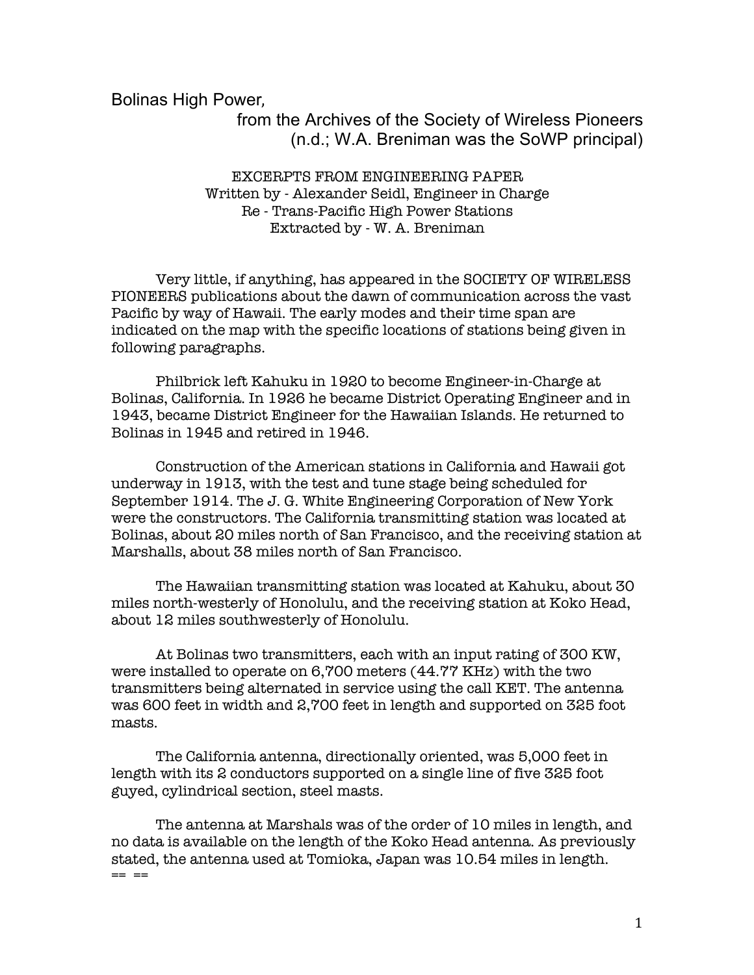Bolinas High Power, 

## from the Archives of the Society of Wireless Pioneers (n.d.; W.A. Breniman was the SoWP principal)

## EXCERPTS FROM ENGINEERING PAPER Written by - Alexander Seidl, Engineer in Charge Re - Trans-Pacific High Power Stations Extracted by - W. A. Breniman

 Very little, if anything, has appeared in the SOCIETY OF WIRELESS PIONEERS publications about the dawn of communication across the vast Pacific by way of Hawaii. The early modes and their time span are indicated on the map with the specific locations of stations being given in following paragraphs.

 Philbrick left Kahuku in 1920 to become Engineer-in-Charge at Bolinas, California. In 1926 he became District Operating Engineer and in 1943, became District Engineer for the Hawaiian Islands. He returned to Bolinas in 1945 and retired in 1946.

 Construction of the American stations in California and Hawaii got underway in 1913, with the test and tune stage being scheduled for September 1914. The J. G. White Engineering Corporation of New York were the constructors. The California transmitting station was located at Bolinas, about 20 miles north of San Francisco, and the receiving station at Marshalls, about 38 miles north of San Francisco.

 The Hawaiian transmitting station was located at Kahuku, about 30 miles north-westerly of Honolulu, and the receiving station at Koko Head, about 12 miles southwesterly of Honolulu.

 At Bolinas two transmitters, each with an input rating of 300 KW, were installed to operate on 6,700 meters (44.77 KHz) with the two transmitters being alternated in service using the call KET. The antenna was 600 feet in width and 2,700 feet in length and supported on 325 foot masts.

 The California antenna, directionally oriented, was 5,000 feet in length with its 2 conductors supported on a single line of five 325 foot guyed, cylindrical section, steel masts.

 The antenna at Marshals was of the order of 10 miles in length, and no data is available on the length of the Koko Head antenna. As previously stated, the antenna used at Tomioka, Japan was 10.54 miles in length.  $== =$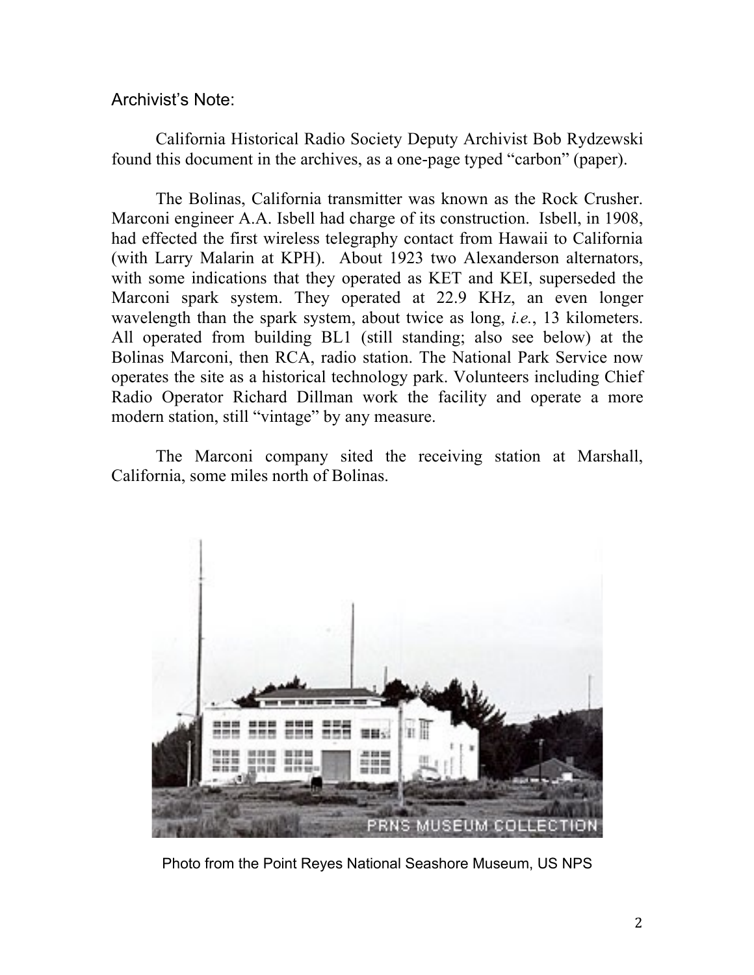## Archivist's Note:

California Historical Radio Society Deputy Archivist Bob Rydzewski found this document in the archives, as a one-page typed "carbon" (paper).

The Bolinas, California transmitter was known as the Rock Crusher. Marconi engineer A.A. Isbell had charge of its construction. Isbell, in 1908, had effected the first wireless telegraphy contact from Hawaii to California (with Larry Malarin at KPH). About 1923 two Alexanderson alternators, with some indications that they operated as KET and KEI, superseded the Marconi spark system. They operated at 22.9 KHz, an even longer wavelength than the spark system, about twice as long, *i.e.*, 13 kilometers. All operated from building BL1 (still standing; also see below) at the Bolinas Marconi, then RCA, radio station. The National Park Service now operates the site as a historical technology park. Volunteers including Chief Radio Operator Richard Dillman work the facility and operate a more modern station, still "vintage" by any measure.

The Marconi company sited the receiving station at Marshall, California, some miles north of Bolinas.



Photo from the Point Reyes National Seashore Museum, US NPS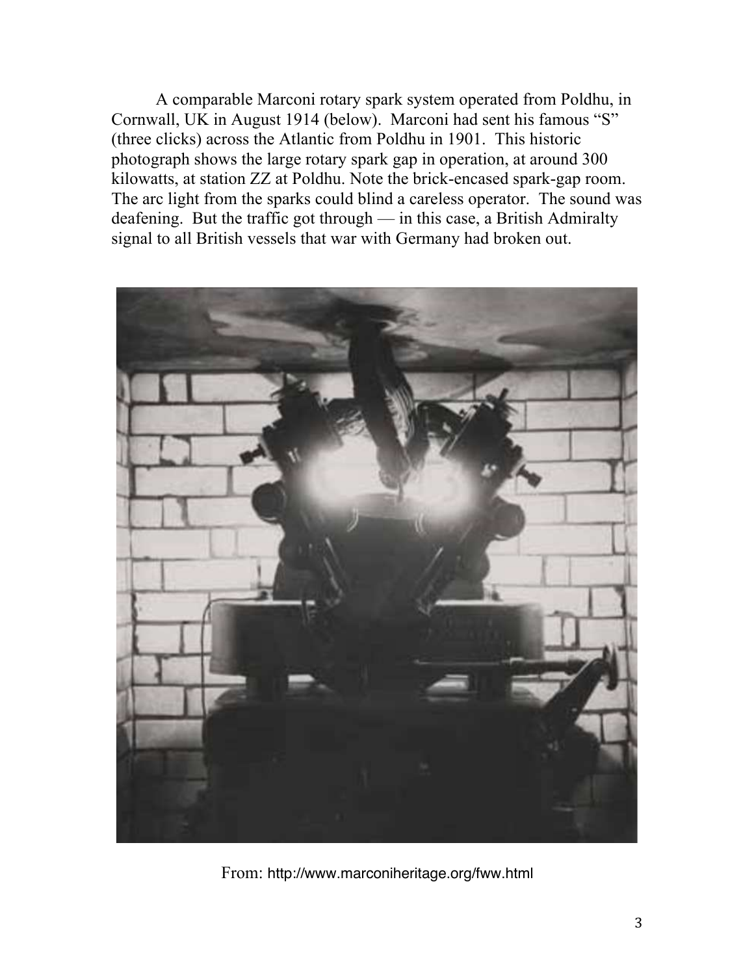A comparable Marconi rotary spark system operated from Poldhu, in Cornwall, UK in August 1914 (below). Marconi had sent his famous "S" (three clicks) across the Atlantic from Poldhu in 1901. This historic photograph shows the large rotary spark gap in operation, at around 300 kilowatts, at station ZZ at Poldhu. Note the brick-encased spark-gap room. The arc light from the sparks could blind a careless operator. The sound was deafening. But the traffic got through — in this case, a British Admiralty signal to all British vessels that war with Germany had broken out.



From: http://www.marconiheritage.org/fww.html